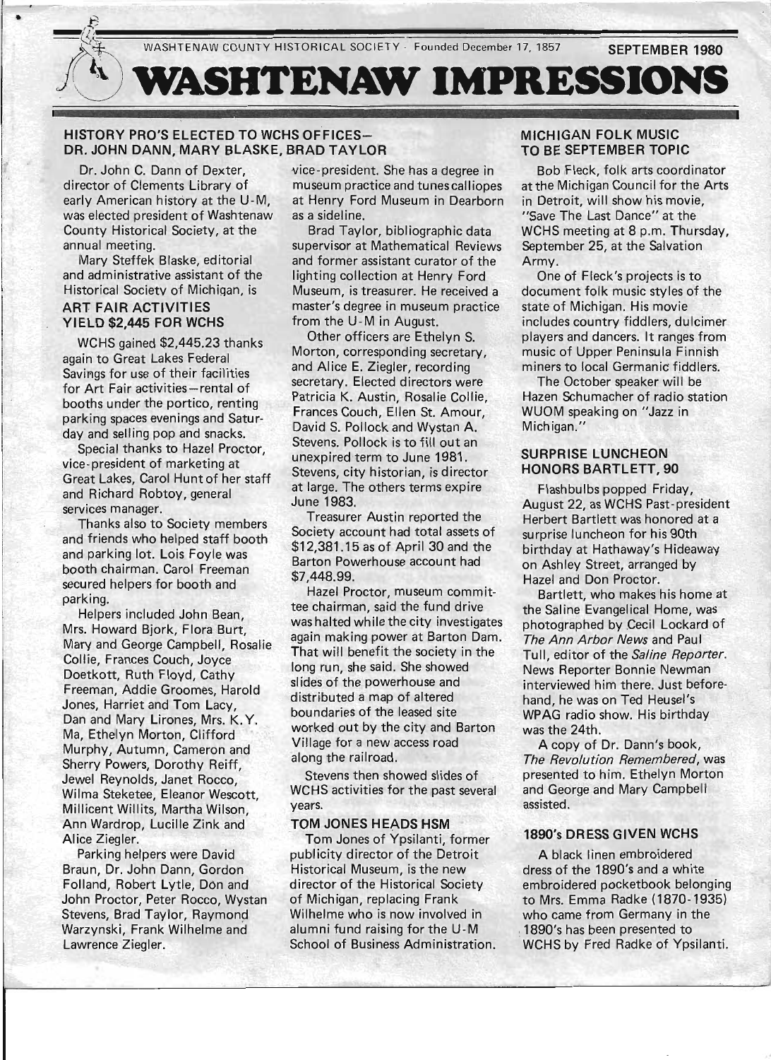WASHTENAW COUNTY HISTORICAL SOCIETY - Founded December 17, 1857

**SEPTEMBER 1980** 



•

VASHTENAW IMPRESSIONS

#### HISTORY PRO'S ELECTED TO WCHS OFFICES-DR. JOHN DANN, MARY BLASKE, BRAD TAYLOR

Dr. John C. Dann of Dexter, director of Clements Library of early American history at the U-M, was elected president of Washtenaw County Historical Society, at the annual meeting.

Mary Steffek Blaske, editorial and administrative assistant of the Historical Society of Michiqan, is ART FAIR ACTIVITIES

# YIELD \$2,445 FOR WCHS

WCHS gained \$2,445.23 thanks again to Great Lakes Federal Savings for use of their facilities for Art Fair activities-rental of booths under the portico, renting parking spaces evenings and Saturday and selling pop and snacks.

Special thanks to Hazel Proctor, vice-president of marketing at Great Lakes, Carol Hunt of her staff and Richard Robtoy, general services manager.

Thanks also to Society members and friends who helped staff booth and parking lot. Lois Foyle was booth chairman. Carol Freeman secured helpers for booth and parking.

Helpers included John Bean, Mrs. Howard Bjork, Flora Burt, Mary and George Campbell, Rosalie Collie, Frances Couch, Joyce Doetkott, Ruth Floyd, Cathy Freeman, Addie Groomes, Harold Jones, Harriet and Tom Lacy, Dan and Mary Lirones, Mrs. K. Y. Ma, Ethelyn Morton, Clifford Murphy, Autumn, Cameron and Sherry Powers, Dorothy Reiff, Jewel Reynolds, Janet Rocco, Wilma Steketee, Eleanor Wescott, Millicent Willits, Martha Wilson, Ann Wardrop, Lucille Zink and Alice Ziegler.

Parking helpers were David Braun, Dr. John Dann, Gordon Folland, Robert Lytle, DOn and John Proctor, Peter Rocco, Wystan Stevens, Brad Taylor, Raymond Warzynski, Frank Wilhelme and Lawrence Ziegler.

vice-president. She has a degree in museum practice and tunes calliopes at Henry Ford Museum in Dearborn as a sideline.

Brad Taylor, bibliographic data supervisor at Mathematical Reviews and former assistant curator of the lighting collection at Henry Ford Museum, is treasurer. He received a master's degree in museum practice from the U-M in August.

Other officers are Ethelyn S. Morton, corresponding secretary, and Alice E. Ziegler, recording secretary. Elected directors were Patricia K. Austin, Rosalie Collie, Frances Couch, Ellen St. Amour, David S. Pollock and Wystan A. Stevens. Pollock is to fill out an unexpired term to June 1981. Stevens, city historian, is director at large. The others terms expire June 1983.

Treasurer Austin reported the Society account had total assets of \$12,381.15as of April 30 and the Barton Powerhouse account had \$7,448.99.

Hazel Proctor, museum committee chairman, said the fund drive was halted while the city investigates again making power at Barton Dam. That will benefit the society in the long run, she said. She showed slides of the powerhouse and distributed a map of altered boundaries of the leased site worked out by the city and Barton Village for a new access road along the railroad.

Stevens then showed slides of WCHS activities for the past several years.

#### TOM JONES HEADS HSM

Tom Jones of Ypsilanti, former publicity director of the Detroit Historical Museum, is the new director of the Historical Society of Michigan, replacing Frank Wilhelme who is now involved in alumni fund raising for the U-M School of Business Administration.

### MICHIGAN FOLK MUSIC TO BE SEPTEMBER TOPIC

Bob Fleck, folk arts coordinator at the Michigan Council for the Arts in Detroit, will show his movie, "Save The Last Dance" at the WCHS meeting at 8 p.m. Thursday, September 25, at the Salvation Army.

One of Fleck's projects is to document folk music styles of the state of Michigan. His movie includes country fiddlers, dulcimer players and dancers. It ranges from music of Upper Peninsula Finnish miners to local Germanic fiddlers.

The October speaker will be Hazen Schumacher of radio station WUOM speaking on "Jazz in Michigan."

#### SURPRISE LUNCHEON HONORS BARTLETT, 90

Flashbulbs popped Friday, August 22, as WCHS Past-president Herbert Bartlett was honored at a surprise luncheon for his 90th birthday at Hathaway's Hideaway on Ashley Street, arranged by Hazel and Don Proctor.

Bartlett, who makes his home at the Saline Evangelical Home, was photographed by Cecil Lockard of The Ann Arbor News and Paul Tull, editor of the Saline Reporter. News Reporter Bonnie Newman interviewed him there. Just beforehand, he was on Ted Heusel's WPAG radio show. His birthday was the 24th.

A copy of Dr. Dann's book, The Revolution Remembered, was presented to him. Ethelyn Morton and George and Mary Campbell assisted.

#### 1890's DRESS GIVEN WCHS

A black linen embroidered dress of the 1890's and a white embroidered pocketbook belonging to Mrs. Emma Radke (1870-1935) who came from Germany in the 1890's has been presented to WCHS by Fred Radke of Ypsilanti.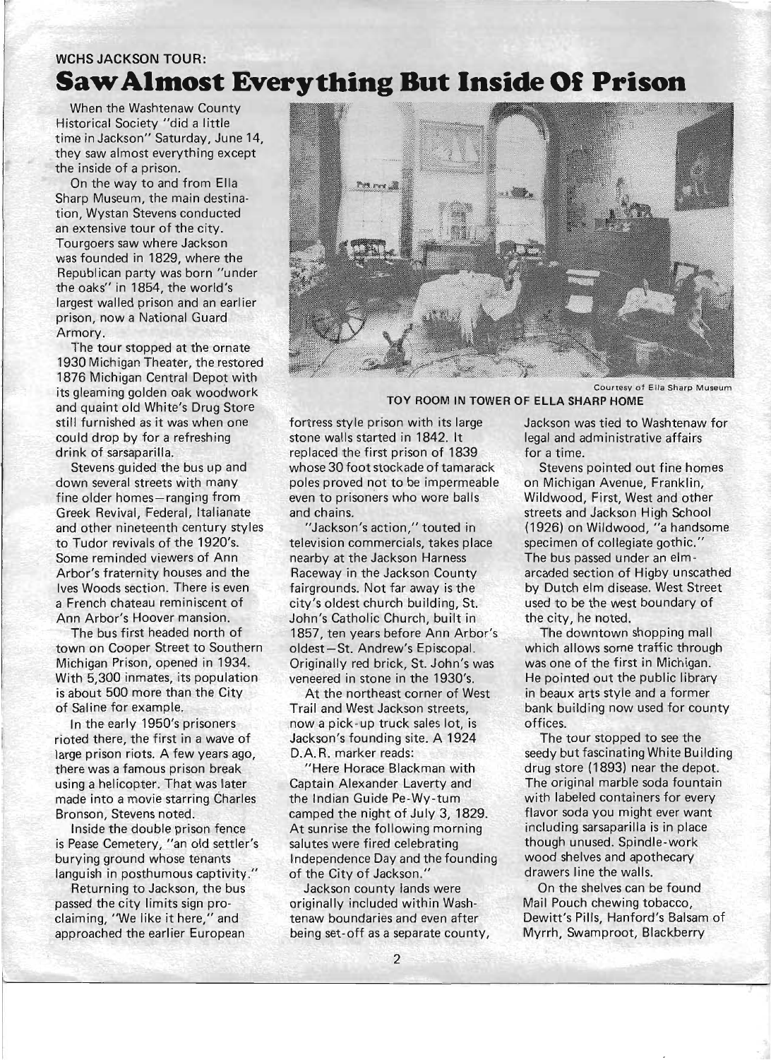## **WCHS JACKSON TOUR: Saw Almost Everything But Inside Of Prison**

When the Washtenaw County Historical Society "did a little time in Jackson" Saturday, June 14, they saw almost everything except the inside of a prison.

On the way to and from Ella Sharp Museum, the main destination, Wystan Stevens conducted an extensive tour of the city. Tourgoers saw where Jackson was founded in 1829, where the Republican party was born "under the oaks" in 1854, the world's largest walled prison and an earlier prison, now a National Guard Armory.

The tour stopped at the ornate 1930 Michigan Theater, the restored 1876 Michigan Central Depot with its gleaming golden oak woodwork and quaint old White's Drug Store still furnished as it was when one could drop by for a refreshing drink of sarsaparilla.

Stevens guided the bus up and down several streets with many fine older homes-ranging from Greek Revival, Federal, Italianate and other nineteenth century styles to Tudor revivals of the 1920's. Some reminded viewers of Ann Arbor's fraternity houses and the Ives Woods section. There is even a French chateau reminiscent of Ann Arbor's Hoover mansion.

The bus first headed north of town on Cooper Street to Southern Michigan Prison, opened in 1934. With 5,300 inmates, its population is about 500 more than the City of Saline for example.

In the early 1950's prisoners rioted there, the first in a wave of large prison riots. A few years ago, there was a famous prison break using a helicopter. That was later made into a movie starring Charles Bronson, Stevens noted.

Inside the double prison fence is Pease Cemetery, "an old settler's burying ground whose tenants languish in posthumous captivity."

Returning to Jackson, the bus passed the city limits sign proclaiming, "We like it here," and approached the earlier European



Courtesy of Ella Sharp Museum

#### TOY ROOM IN TOWER OF ELLA SHARP HOME

fortress style prison with its large stone walls started in 1842. It replaced the first prison of 1839 whose 30 foot stockade of tamarack poles proved not to be impermeable even to prisoners who wore balls and chains.

"Jackson's action," touted in television commercials, takes place nearby at the Jackson Harness Raceway in the Jackson County fairgrounds. Not far away is the city's oldest church building, St. John's Catholic Church, built in 1857, ten years before Ann Arbor's oldest-St. Andrew's Episcopal. Originally red brick, St. John's was veneered in stone in the 1930's.

At the northeast corner of West Trail and West Jackson streets, now a pick-up truck sales lot, is Jackson's founding site. A 1924 D.A. R. marker reads:

"Here Horace Blackman with Captain Alexander Laverty and the Indian Guide Pe-Wy-tum camped the night of July 3, 1829. At sunrise the following morning salutes were fired celebrating Independence Day and the founding of the City of Jackson."

Jackson county lands were originally included within Washtenaw boundaries and even after being set-off as a separate county, Jackson was tied to Washtenaw for legal and administrative affairs for a time.

Stevens pointed out fine homes on Michigan Avenue, Franklin, Wildwood, First, West and other streets and Jackson High School (1926) on Wildwood, "a handsome specimen of collegiate gothic." The bus passed under an elmarcaded section of Higby unscathed by Dutch elm disease. West Street used to be the west boundary of the city, he noted.

The downtown shopping mall which allows some traffic through was one of the first in Michigan. He pointed out the public library in beaux arts style and a former bank building now used for county offices.

The tour stopped to see the seedy but fascinating White Building drug store (1893) near the depot. The original marble soda fountain with labeled containers for every flavor soda you might ever want including sarsaparilla is in place though unused. Spindle-work wood shelves and apothecary drawers line the walls.

On the shelves can be found Mail Pouch chewing tobacco, Dewitt's Pills, Hanford's Balsam of Myrrh, Swamproot, Blackberry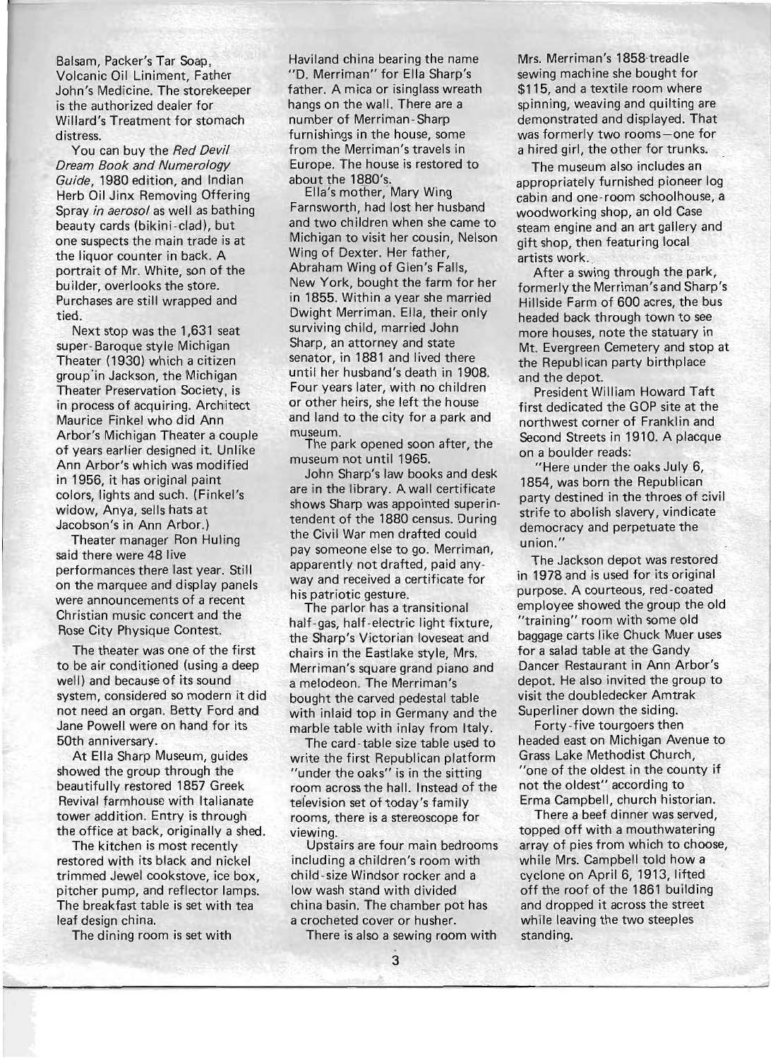Balsam, Packer's Tar Soap, Volcanic Oil Liniment, Father John's Medicine. The storekeeper is the authorized dealer for Willard's Treatment for stomach distress.

You can buy the Red Devil Dream Book and Numerology Guide, 1980 edition, and Indian Herb Oil Jinx Removing Offering Spray in aerosol as well as bathing beauty cards (bikini-clad), but one suspects the main trade is at the liquor counter in back. A portrait of Mr. White, son of the builder, overlooks the store. Purchases are still wrapped and tied.

Next stop was the 1,631 seat super- Baroque style Michigan Theater (1930) which a citizen group'in Jackson, the Michigan Theater Preservation Society, is in process of acquiring. Architect Maurice Finkel who did Ann Arbor's Michigan Theater a couple of years earlier designed it. Unlike Ann Arbor's which was modified in 1956, it has original paint colors, lights and such. (Finkel's widow, Anya, sells hats at Jacobson's in Ann Arbor.)

Theater manager Ron Huling said there were 48 live performances there last year. Still on the marquee and display panels were announcements of a recent Christian music concert and the Rose City Physique Contest.

The theater was one of the first to be air conditioned (using a deep well) and because of its sound system, considered so modern it did not need an organ. Betty Ford and Jane Powell were on hand for its 50th anniversary.

At Ella Sharp Museum, guides showed the group through the beautifully restored 1857 Greek Revival farmhouse with Italianate tower addition. Entry is through the office at back, originally a shed.

The kitchen is most recently restored with its black and nickel trimmed Jewel cookstove, ice box, pitcher pump, and reflector lamps. The breakfast table is set with tea leaf design china.

The dining room is set with

Haviland china bearing the name "D. Merriman" for Ella Sharp's father. A mica or isinglass wreath hangs on the wall. There are a number of Merriman -Sharp furnishings in the house, some from the Merriman's travels in Europe. The house is restored to  $b$ out the 1880's

Ella's moffier,-Mary Wing Farnsworth, had lost her husband and two children when she came to Michigan to visit her cousin, Nelson Wing of Dexter. Her father, Abraham Wing of Glen's Falls, New York, bought the farm for her in 1855. Within a year she married Dwight Merriman. Ella, their only surviving child, married John Sharp, an attorney and state senator, in 1881 and lived there until her husband's death in 190B. Four years later, with no children or other heirs, she left the house and land to the city for a park and museum.

The park opened soon after, the museum not until 1965.

John Sharp's law books and desk are in the library. A wall certificate shows Sharp was appointed superintendent of the 1880 census. During the Civil War men drafted could pay someone else to go. Merriman, apparently not drafted, paid anyway and received a certificate for his patriotic gesture.

The parlor has a transitional half-gas, half-electric light fixture, the Sharp's Victorian loveseat and chairs in the Eastlake style, Mrs. Merriman's square grand piano and a melodeon. The Merriman's bought the carved pedestal table with inlaid top in Germany and the marble table with inlay from Italy.

The card -table size table used to write the first Republican platform "under the oaks" is in the sitting room across the hall. Instead of the tefevision set of today's family rooms, there is a stereoscope for viewing.

Upstairs are four main bedrooms including a children's room with child-size Windsor rocker and a low wash stand with divided china basin. The chamber pot has a crocheted cover or husher.

There is also a sewing room with

Mrs. Merriman's 1858-treadle sewing machine she bought for \$115, and a textile room where spinning, weaving and quilting are demonstrated and displayed. That was formerly two rooms-one for a hired girl, the other for trunks.

The museum also includes an appropriately furnished pioneer log cabin and one-room schoolhouse, a woodworking shop, an old Case steam engine and an art gallery and gift shop, then featuring local artists work.

After a swing through the park, formerly the Merriman'sand Sharp's Hillside Farm of 600 acres, the bus headed back through town to see more houses, note the statuary in Mt. Evergreen Cemetery and stop at the Republican party birthplace and the depot.

President William Howard Taft first dedicated the GOP site at the northwest corner of Franklin and Second Streets in 1910. A placque on a boulder reads:

"Here under the oaks July 6, 1854, was born the Republican party destined in the throes of civil strife to abolish slavery, vindicate democracy and perpetuate the union."

The Jackson depot was restored in 1978 and is used for its original purpose. A courteous, red-coated employee showed the group the old "training" room with some old baggage carts like Chuck Muer uses for a salad table at the Gandy Dancer Restaurant in Ann Arbor's depot. He also invited the group to visit the doubledecker Amtrak Superliner down the siding.

Forty-five tourgoers then headed east on Michigan Avenue to Grass Lake Methodist Church, "one of the oldest in the county if not the oldest" according to Erma Campbell, church historian.

There a beef dinner was served, topped off with a mouthwatering array of pies from which to choose, while Mrs. Campbell told how a cyclone on April 6, 1913, lifted off the roof of the 1861 building and dropped it across the street while leaving the two steeples standing.